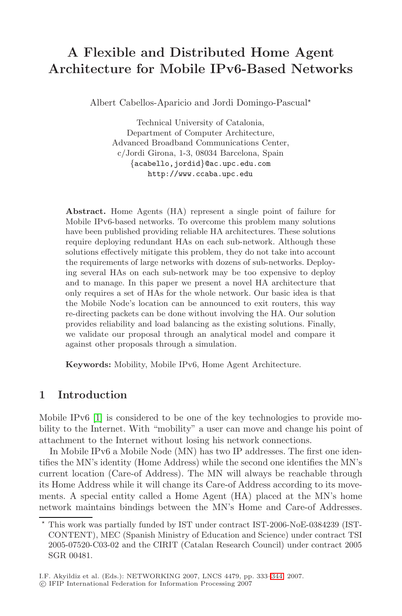# **A Flexible and Distributed Home Agent Architecture for Mobile IPv6-Based Networks**

Albert Cabellos-Aparicio and Jordi Domingo-Pascual-

Technical University of Catalonia, Department of Computer Architecture, Advanced Broadband Communications Center, c/Jordi Girona, 1-3, 08034 Barcelona, Spain {acabello,jordid}@ac.upc.edu.com http://www.ccaba.upc.edu

**Abstract.** Home Agents (HA) represent a single point of failure for Mobile IPv6-based networks. To overcome this problem many solutions have been published providing reliable HA architectures. These solutions require deploying redundant HAs on each sub-network. Although these solutions effectively mitigate this problem, they do not take into account the requirements of large networks with dozens of sub-networks. Deploying several HAs on each sub-network may be too expensive to deploy and to manage. In this paper we present a novel HA architecture that only requires a set of HAs for the whole network. Our basic idea is that the Mobile Node's location can be announced to exit routers, this way re-directing packets can be done without involving the HA. Our solution provides reliability and load balancing as the existing solutions. Finally, we validate our proposal through an analytical model and compare it against other proposals through a simulation.

**Keywords:** Mobility, Mobile IPv6, Home Agent Architecture.

# **1 Introduction**

Mobile IPv6 [\[1\]](#page-11-0) is considered to be one of the key technologies to provide mobility to the Internet. With "mobility" a user can move and change his point of attachment to the Internet without losing his network connections.

In Mobile IPv6 a Mobile Node (MN) has two IP addresses. The first one identifies the MN's identity (Home Address) while the second one identifies the MN's current location (Care-of Address). The MN will always be reachable through its Home Address while it will change its Care-of Address according to its movements. A special entity called a Home Agent (HA) placed at the MN's home network maintains bindings between the MN's Home and Care-of Addresses.

<sup>-</sup> This work was partially funded by IST under contract IST-2006-NoE-0384239 (IST-CONTENT), MEC (Spanish Ministry of Education and Science) under contract TSI 2005-07520-C03-02 and the CIRIT (Catalan Research Council) under contract 2005 SGR 00481.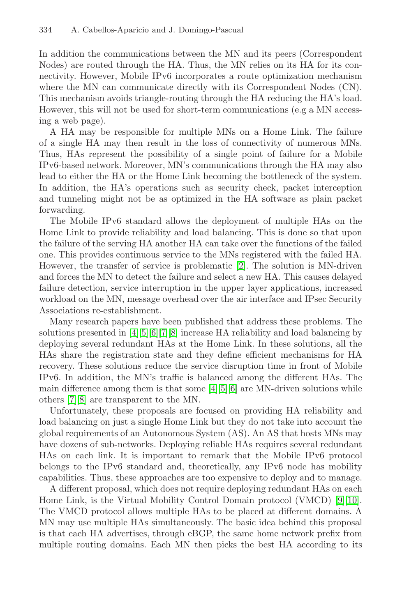In addition the communications between the MN and its peers (Correspondent Nodes) are routed through the HA. Thus, the MN relies on its HA for its connectivity. However, Mobile IPv6 incorporates a route optimization mechanism where the MN can communicate directly with its Correspondent Nodes (CN). This mechanism avoids triangle-routing through the HA reducing the HA's load. However, this will not be used for short-term communications (e.g a MN accessing a web page).

A HA may be responsible for multiple MNs on a Home Link. The failure of a single HA may then result in the loss of connectivity of numerous MNs. Thus, HAs represent the possibility of a single point of failure for a Mobile IPv6-based network. Moreover, MN's communications through the HA may also lead to either the HA or the Home Link becoming the bottleneck of the system. In addition, the HA's operations such as security check, packet interception and tunneling might not be as optimized in the HA software as plain packet forwarding.

The Mobile IPv6 standard allows the deployment of multiple HAs on the Home Link to provide reliability and load balancing. This is done so that upon the failure of the serving HA another HA can take over the functions of the failed one. This provides continuous service to the MNs registered with the failed HA. However, the transfer of service is problematic [\[2\]](#page-11-2). The solution is MN-driven and forces the MN to detect the failure and select a new HA. This causes delayed failure detection, service interruption in the upper layer applications, increased workload on the MN, message overhead over the air interface and IPsec Security Associations re-establishment.

Many research papers have been published that address these problems. The solutions presented in [\[4\]](#page-11-3)[\[5\]](#page-11-4)[\[6\]](#page-11-5)[\[7\]](#page-11-6)[\[8\]](#page-11-7) increase HA reliability and load balancing by deploying several redundant HAs at the Home Link. In these solutions, all the HAs share the registration state and they define efficient mechanisms for HA recovery. These solutions reduce the service disruption time in front of Mobile IPv6. In addition, the MN's traffic is balanced among the different HAs. The main difference among them is that some [\[4\]](#page-11-3)[\[5\]](#page-11-4)[\[6\]](#page-11-5) are MN-driven solutions while others [\[7\]](#page-11-6)[\[8\]](#page-11-7) are transparent to the MN.

Unfortunately, these proposals are focused on providing HA reliability and load balancing on just a single Home Link but they do not take into account the global requirements of an Autonomous System (AS). An AS that hosts MNs may have dozens of sub-networks. Deploying reliable HAs requires several redundant HAs on each link. It is important to remark that the Mobile IPv6 protocol belongs to the IPv6 standard and, theoretically, any IPv6 node has mobility capabilities. Thus, these approaches are too expensive to deploy and to manage.

A different proposal, which does not require deploying redundant HAs on each Home Link, is the Virtual Mobility Control Domain protocol (VMCD) [\[9\]](#page-11-8)[\[10\]](#page-11-9). The VMCD protocol allows multiple HAs to be placed at different domains. A MN may use multiple HAs simultaneously. The basic idea behind this proposal is that each HA advertises, through eBGP, the same home network prefix from multiple routing domains. Each MN then picks the best HA according to its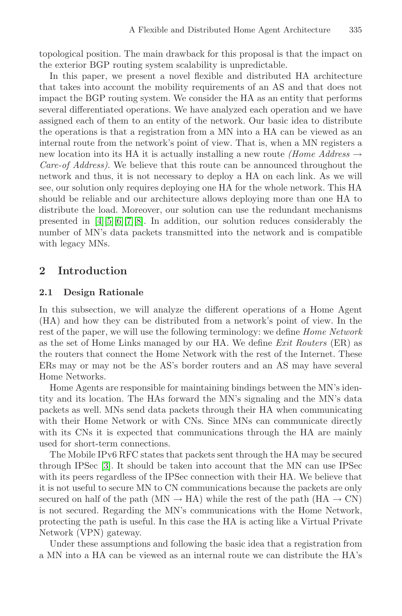topological position. The main drawback for this proposal is that the impact on the exterior BGP routing system scalability is unpredictable.

In this paper, we present a novel flexible and distributed HA architecture that takes into account the mobility requirements of an AS and that does not impact the BGP routing system. We consider the HA as an entity that performs several differentiated operations. We have analyzed each operation and we have assigned each of them to an entity of the network. Our basic idea to distribute the operations is that a registration from a MN into a HA can be viewed as an internal route from the network's point of view. That is, when a MN registers a new location into its HA it is actually installing a new route *(Home Address*  $\rightarrow$ Care-of Address). We believe that this route can be announced throughout the network and thus, it is not necessary to deploy a HA on each link. As we will see, our solution only requires deploying one HA for the whole network. This HA should be reliable and our architecture allows deploying more than one HA to distribute the load. Moreover, our solution can use the redundant mechanisms presented in [\[4\]](#page-11-3)[\[5\]](#page-11-4)[\[6\]](#page-11-5)[\[7\]](#page-11-6)[\[8\]](#page-11-7). In addition, our solution reduces considerably the number of MN's data packets transmitted into the network and is compatible with legacy MNs.

## **2 Introduction**

#### **2.1 Design Rationale**

In this subsection, we will analyze the different operations of a Home Agent (HA) and how they can be distributed from a network's point of view. In the rest of the paper, we will use the following terminology: we define *Home Network* as the set of Home Links managed by our HA. We define Exit Routers (ER) as the routers that connect the Home Network with the rest of the Internet. These ERs may or may not be the AS's border routers and an AS may have several Home Networks.

Home Agents are responsible for maintaining bindings between the MN's identity and its location. The HAs forward the MN's signaling and the MN's data packets as well. MNs send data packets through their HA when communicating with their Home Network or with CNs. Since MNs can communicate directly with its CNs it is expected that communications through the HA are mainly used for short-term connections.

The Mobile IPv6 RFC states that packets sent through the HA may be secured through IPSec [\[3\]](#page-11-10). It should be taken into account that the MN can use IPSec with its peers regardless of the IPSec connection with their HA. We believe that it is not useful to secure MN to CN communications because the packets are only secured on half of the path (MN  $\rightarrow$  HA) while the rest of the path (HA  $\rightarrow$  CN) is not secured. Regarding the MN's communications with the Home Network, protecting the path is useful. In this case the HA is acting like a Virtual Private Network (VPN) gateway.

Under these assumptions and following the basic idea that a registration from a MN into a HA can be viewed as an internal route we can distribute the HA's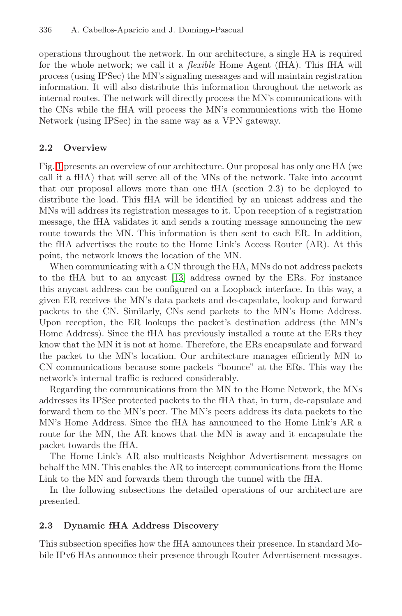operations throughout the network. In our architecture, a single HA is required for the whole network; we call it a *flexible* Home Agent (fHA). This fHA will process (using IPSec) the MN's signaling messages and will maintain registration information. It will also distribute this information throughout the network as internal routes. The network will directly process the MN's communications with the CNs while the fHA will process the MN's communications with the Home Network (using IPSec) in the same way as a VPN gateway.

## **2.2 Overview**

Fig. [1](#page-4-0) presents an overview of our architecture. Our proposal has only one HA (we call it a fHA) that will serve all of the MNs of the network. Take into account that our proposal allows more than one fHA (section 2.3) to be deployed to distribute the load. This fHA will be identified by an unicast address and the MNs will address its registration messages to it. Upon reception of a registration message, the fHA validates it and sends a routing message announcing the new route towards the MN. This information is then sent to each ER. In addition, the fHA advertises the route to the Home Link's Access Router (AR). At this point, the network knows the location of the MN.

When communicating with a CN through the HA, MNs do not address packets to the fHA but to an anycast [\[13\]](#page-11-11) address owned by the ERs. For instance this anycast address can be configured on a Loopback interface. In this way, a given ER receives the MN's data packets and de-capsulate, lookup and forward packets to the CN. Similarly, CNs send packets to the MN's Home Address. Upon reception, the ER lookups the packet's destination address (the MN's Home Address). Since the fHA has previously installed a route at the ERs they know that the MN it is not at home. Therefore, the ERs encapsulate and forward the packet to the MN's location. Our architecture manages efficiently MN to CN communications because some packets "bounce" at the ERs. This way the network's internal traffic is reduced considerably.

Regarding the communications from the MN to the Home Network, the MNs addresses its IPSec protected packets to the fHA that, in turn, de-capsulate and forward them to the MN's peer. The MN's peers address its data packets to the MN's Home Address. Since the fHA has announced to the Home Link's AR a route for the MN, the AR knows that the MN is away and it encapsulate the packet towards the fHA.

The Home Link's AR also multicasts Neighbor Advertisement messages on behalf the MN. This enables the AR to intercept communications from the Home Link to the MN and forwards them through the tunnel with the fHA.

In the following subsections the detailed operations of our architecture are presented.

# **2.3 Dynamic fHA Address Discovery**

This subsection specifies how the fHA announces their presence. In standard Mobile IPv6 HAs announce their presence through Router Advertisement messages.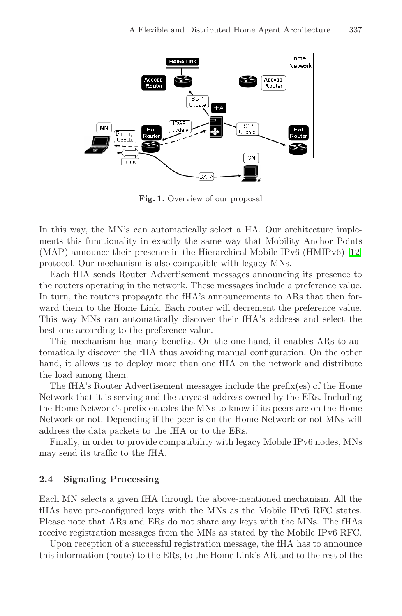

<span id="page-4-0"></span>**Fig. 1.** Overview of our proposal

In this way, the MN's can automatically select a HA. Our architecture implements this functionality in exactly the same way that Mobility Anchor Points (MAP) announce their presence in the Hierarchical Mobile IPv6 (HMIPv6) [\[12\]](#page-11-12) protocol. Our mechanism is also compatible with legacy MNs.

Each fHA sends Router Advertisement messages announcing its presence to the routers operating in the network. These messages include a preference value. In turn, the routers propagate the fHA's announcements to ARs that then forward them to the Home Link. Each router will decrement the preference value. This way MNs can automatically discover their fHA's address and select the best one according to the preference value.

This mechanism has many benefits. On the one hand, it enables ARs to automatically discover the fHA thus avoiding manual configuration. On the other hand, it allows us to deploy more than one fHA on the network and distribute the load among them.

The fHA's Router Advertisement messages include the prefix(es) of the Home Network that it is serving and the anycast address owned by the ERs. Including the Home Network's prefix enables the MNs to know if its peers are on the Home Network or not. Depending if the peer is on the Home Network or not MNs will address the data packets to the fHA or to the ERs.

Finally, in order to provide compatibility with legacy Mobile IPv6 nodes, MNs may send its traffic to the fHA.

#### **2.4 Signaling Processing**

Each MN selects a given fHA through the above-mentioned mechanism. All the fHAs have pre-configured keys with the MNs as the Mobile IPv6 RFC states. Please note that ARs and ERs do not share any keys with the MNs. The fHAs receive registration messages from the MNs as stated by the Mobile IPv6 RFC.

Upon reception of a successful registration message, the fHA has to announce this information (route) to the ERs, to the Home Link's AR and to the rest of the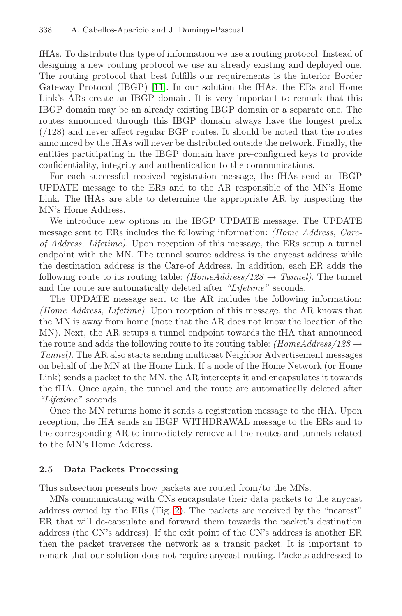fHAs. To distribute this type of information we use a routing protocol. Instead of designing a new routing protocol we use an already existing and deployed one. The routing protocol that best fulfills our requirements is the interior Border Gateway Protocol (IBGP) [\[11\]](#page-11-13). In our solution the fHAs, the ERs and Home Link's ARs create an IBGP domain. It is very important to remark that this IBGP domain may be an already existing IBGP domain or a separate one. The routes announced through this IBGP domain always have the longest prefix  $(128)$  and never affect regular BGP routes. It should be noted that the routes announced by the fHAs will never be distributed outside the network. Finally, the entities participating in the IBGP domain have pre-configured keys to provide confidentiality, integrity and authentication to the communications.

For each successful received registration message, the fHAs send an IBGP UPDATE message to the ERs and to the AR responsible of the MN's Home Link. The fHAs are able to determine the appropriate AR by inspecting the MN's Home Address.

We introduce new options in the IBGP UPDATE message. The UPDATE message sent to ERs includes the following information: *(Home Address, Care*of Address, Lifetime). Upon reception of this message, the ERs setup a tunnel endpoint with the MN. The tunnel source address is the anycast address while the destination address is the Care-of Address. In addition, each ER adds the following route to its routing table:  $(HomeAddress/128 \rightarrow Tunnel)$ . The tunnel and the route are automatically deleted after "Lifetime" seconds.

The UPDATE message sent to the AR includes the following information: (Home Address, Lifetime). Upon reception of this message, the AR knows that the MN is away from home (note that the AR does not know the location of the MN). Next, the AR setups a tunnel endpoint towards the fHA that announced the route and adds the following route to its routing table:  $(HomeAddress/128 \rightarrow$ Tunnel). The AR also starts sending multicast Neighbor Advertisement messages on behalf of the MN at the Home Link. If a node of the Home Network (or Home Link) sends a packet to the MN, the AR intercepts it and encapsulates it towards the fHA. Once again, the tunnel and the route are automatically deleted after "Lifetime" seconds.

Once the MN returns home it sends a registration message to the fHA. Upon reception, the fHA sends an IBGP WITHDRAWAL message to the ERs and to the corresponding AR to immediately remove all the routes and tunnels related to the MN's Home Address.

#### **2.5 Data Packets Processing**

This subsection presents how packets are routed from/to the MNs.

MNs communicating with CNs encapsulate their data packets to the anycast address owned by the ERs (Fig. [2\)](#page-6-0). The packets are received by the "nearest" ER that will de-capsulate and forward them towards the packet's destination address (the CN's address). If the exit point of the CN's address is another ER then the packet traverses the network as a transit packet. It is important to remark that our solution does not require anycast routing. Packets addressed to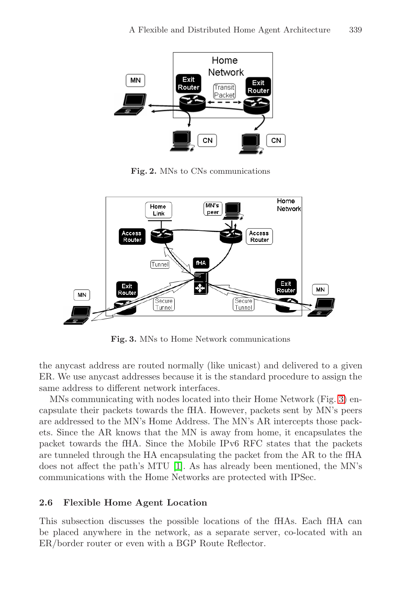

**Fig. 2.** MNs to CNs communications

<span id="page-6-0"></span>

**Fig. 3.** MNs to Home Network communications

<span id="page-6-1"></span>the anycast address are routed normally (like unicast) and delivered to a given ER. We use anycast addresses because it is the standard procedure to assign the same address to different network interfaces.

MNs communicating with nodes located into their Home Network (Fig. [3\)](#page-6-1) encapsulate their packets towards the fHA. However, packets sent by MN's peers are addressed to the MN's Home Address. The MN's AR intercepts those packets. Since the AR knows that the MN is away from home, it encapsulates the packet towards the fHA. Since the Mobile IPv6 RFC states that the packets are tunneled through the HA encapsulating the packet from the AR to the fHA does not affect the path's MTU [\[1\]](#page-11-0). As has already been mentioned, the MN's communications with the Home Networks are protected with IPSec.

#### **2.6 Flexible Home Agent Location**

This subsection discusses the possible locations of the fHAs. Each fHA can be placed anywhere in the network, as a separate server, co-located with an ER/border router or even with a BGP Route Reflector.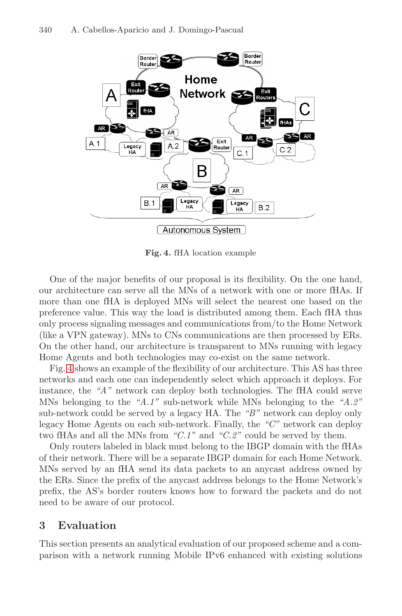

<span id="page-7-0"></span>**Fig. 4.** fHA location example

One of the major benefits of our proposal is its flexibility. On the one hand, our architecture can serve all the MNs of a network with one or more fHAs. If more than one fHA is deployed MNs will select the nearest one based on the preference value. This way the load is distributed among them. Each fHA thus only process signaling messages and communications from/to the Home Network (like a VPN gateway). MNs to CNs communications are then processed by ERs. On the other hand, our architecture is transparent to MNs running with legacy Home Agents and both technologies may co-exist on the same network.

Fig. [4](#page-7-0) shows an example of the flexibility of our architecture. This AS has three networks and each one can independently select which approach it deploys. For instance, the "A" network can deploy both technologies. The fHA could serve MNs belonging to the "A.1" sub-network while MNs belonging to the "A.2" sub-network could be served by a legacy HA. The "B" network can deploy only legacy Home Agents on each sub-network. Finally, the "C" network can deploy two fHAs and all the MNs from " $C.1$ " and " $C.2$ " could be served by them.

Only routers labeled in black must belong to the IBGP domain with the fHAs of their network. There will be a separate IBGP domain for each Home Network. MNs served by an fHA send its data packets to an anycast address owned by the ERs. Since the prefix of the anycast address belongs to the Home Network's prefix, the AS's border routers knows how to forward the packets and do not need to be aware of our protocol.

# **3 Evaluation**

This section presents an analytical evaluation of our proposed scheme and a comparison with a network running Mobile IPv6 enhanced with existing solutions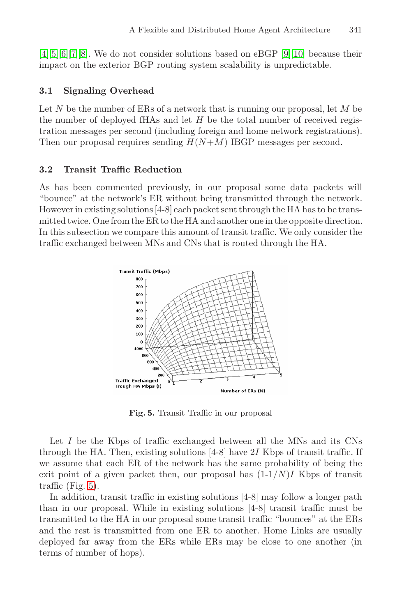[\[4\]](#page-11-3)[\[5\]](#page-11-4)[\[6\]](#page-11-5)[\[7\]](#page-11-6)[\[8\]](#page-11-7). We do not consider solutions based on eBGP [\[9\]](#page-11-8)[\[10\]](#page-11-9) because their impact on the exterior BGP routing system scalability is unpredictable.

#### **3.1 Signaling Overhead**

Let N be the number of ERs of a network that is running our proposal, let  $M$  be the number of deployed fHAs and let  $H$  be the total number of received registration messages per second (including foreign and home network registrations). Then our proposal requires sending  $H(N+M)$  IBGP messages per second.

#### **3.2 Transit Traffic Reduction**

As has been commented previously, in our proposal some data packets will "bounce" at the network's ER without being transmitted through the network. However in existing solutions  $[4-8]$  each packet sent through the HA has to be transmitted twice. One from the ER to the HA and another one in the opposite direction. In this subsection we compare this amount of transit traffic. We only consider the traffic exchanged between MNs and CNs that is routed through the HA.



<span id="page-8-0"></span>**Fig. 5.** Transit Traffic in our proposal

Let I be the Kbps of traffic exchanged between all the MNs and its CNs through the HA. Then, existing solutions  $[4-8]$  have 2I Kbps of transit traffic. If we assume that each ER of the network has the same probability of being the exit point of a given packet then, our proposal has  $(1-1/N)I$  Kbps of transit traffic (Fig. [5\)](#page-8-0).

In addition, transit traffic in existing solutions [4-8] may follow a longer path than in our proposal. While in existing solutions [4-8] transit traffic must be transmitted to the HA in our proposal some transit traffic "bounces" at the ERs and the rest is transmitted from one ER to another. Home Links are usually deployed far away from the ERs while ERs may be close to one another (in terms of number of hops).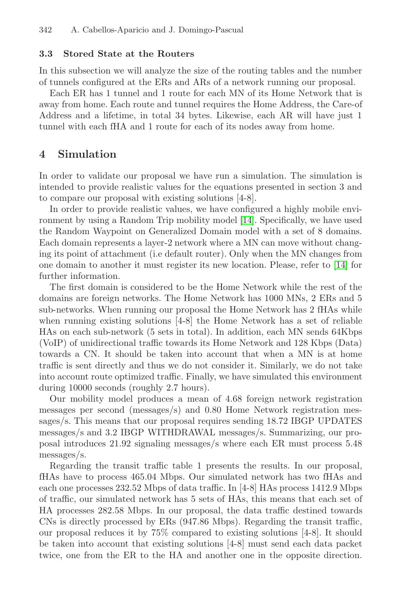#### **3.3 Stored State at the Routers**

In this subsection we will analyze the size of the routing tables and the number of tunnels configured at the ERs and ARs of a network running our proposal.

Each ER has 1 tunnel and 1 route for each MN of its Home Network that is away from home. Each route and tunnel requires the Home Address, the Care-of Address and a lifetime, in total 34 bytes. Likewise, each AR will have just 1 tunnel with each fHA and 1 route for each of its nodes away from home.

#### **4 Simulation**

In order to validate our proposal we have run a simulation. The simulation is intended to provide realistic values for the equations presented in section 3 and to compare our proposal with existing solutions [4-8].

In order to provide realistic values, we have configured a highly mobile environment by using a Random Trip mobility model [\[14\]](#page-11-14). Specifically, we have used the Random Waypoint on Generalized Domain model with a set of 8 domains. Each domain represents a layer-2 network where a MN can move without changing its point of attachment (i.e default router). Only when the MN changes from one domain to another it must register its new location. Please, refer to [\[14\]](#page-11-14) for further information.

The first domain is considered to be the Home Network while the rest of the domains are foreign networks. The Home Network has 1000 MNs, 2 ERs and 5 sub-networks. When running our proposal the Home Network has 2 fHAs while when running existing solutions [4-8] the Home Network has a set of reliable HAs on each sub-network (5 sets in total). In addition, each MN sends 64Kbps (VoIP) of unidirectional traffic towards its Home Network and 128 Kbps (Data) towards a CN. It should be taken into account that when a MN is at home traffic is sent directly and thus we do not consider it. Similarly, we do not take into account route optimized traffic. Finally, we have simulated this environment during 10000 seconds (roughly 2.7 hours).

Our mobility model produces a mean of 4.68 foreign network registration messages per second (messages/s) and 0.80 Home Network registration messages/s. This means that our proposal requires sending 18.72 IBGP UPDATES messages/s and 3.2 IBGP WITHDRAWAL messages/s. Summarizing, our proposal introduces 21.92 signaling messages/s where each ER must process 5.48 messages/s.

Regarding the transit traffic table 1 presents the results. In our proposal, fHAs have to process 465.04 Mbps. Our simulated network has two fHAs and each one processes 232.52 Mbps of data traffic. In [4-8] HAs process 1412.9 Mbps of traffic, our simulated network has 5 sets of HAs, this means that each set of HA processes 282.58 Mbps. In our proposal, the data traffic destined towards CNs is directly processed by ERs (947.86 Mbps). Regarding the transit traffic, our proposal reduces it by 75% compared to existing solutions [4-8]. It should be taken into account that existing solutions [4-8] must send each data packet twice, one from the ER to the HA and another one in the opposite direction.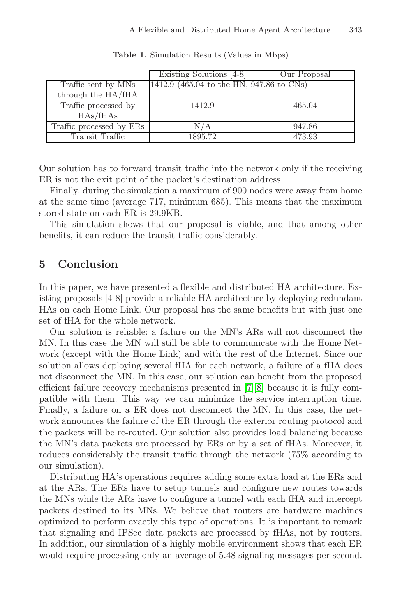|                          | Existing Solutions [4-8]                 | Our Proposal |
|--------------------------|------------------------------------------|--------------|
| Traffic sent by MNs      | 1412.9 (465.04 to the HN, 947.86 to CNs) |              |
| through the HA/fHA       |                                          |              |
| Traffic processed by     | 1412.9                                   | 465.04       |
| HAs/ffHAs                |                                          |              |
| Traffic processed by ERs | N/A                                      | 947.86       |
| Transit Traffic          | 1895.72                                  | 473.93       |

**Table 1.** Simulation Results (Values in Mbps)

Our solution has to forward transit traffic into the network only if the receiving ER is not the exit point of the packet's destination address

Finally, during the simulation a maximum of 900 nodes were away from home at the same time (average 717, minimum 685). This means that the maximum stored state on each ER is 29.9KB.

This simulation shows that our proposal is viable, and that among other benefits, it can reduce the transit traffic considerably.

### **5 Conclusion**

In this paper, we have presented a flexible and distributed HA architecture. Existing proposals [4-8] provide a reliable HA architecture by deploying redundant HAs on each Home Link. Our proposal has the same benefits but with just one set of fHA for the whole network.

Our solution is reliable: a failure on the MN's ARs will not disconnect the MN. In this case the MN will still be able to communicate with the Home Network (except with the Home Link) and with the rest of the Internet. Since our solution allows deploying several fHA for each network, a failure of a fHA does not disconnect the MN. In this case, our solution can benefit from the proposed efficient failure recovery mechanisms presented in [\[7\]](#page-11-6)[\[8\]](#page-11-7) because it is fully compatible with them. This way we can minimize the service interruption time. Finally, a failure on a ER does not disconnect the MN. In this case, the network announces the failure of the ER through the exterior routing protocol and the packets will be re-routed. Our solution also provides load balancing because the MN's data packets are processed by ERs or by a set of fHAs. Moreover, it reduces considerably the transit traffic through the network (75% according to our simulation).

Distributing HA's operations requires adding some extra load at the ERs and at the ARs. The ERs have to setup tunnels and configure new routes towards the MNs while the ARs have to configure a tunnel with each fHA and intercept packets destined to its MNs. We believe that routers are hardware machines optimized to perform exactly this type of operations. It is important to remark that signaling and IPSec data packets are processed by fHAs, not by routers. In addition, our simulation of a highly mobile environment shows that each ER would require processing only an average of 5.48 signaling messages per second.